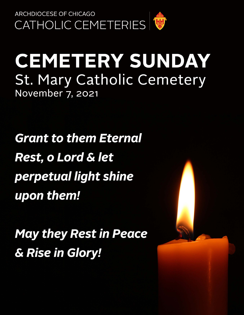

# **CEMETERY SUNDAY St. Mary Catholic Cemetery** November 7, 2021

**Grant to them Eternal Rest, o Lord & let** perpetual light shine upon them!

**May they Rest in Peace** & Rise in Glory!

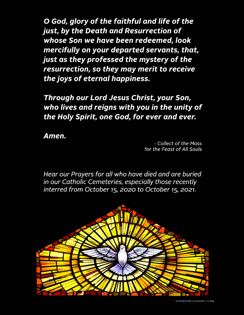O God, glory of the faithful and life of the just, by the Death and Resurrection of whose Son we have been redeemed, look mercifully on your departed servants, that, just as they professed the mystery of the resurrection, so they may merit to receive the joys of eternal happiness.

Through our Lord Jesus Christ, your Son, who lives and reigns with you in the unity of the Holy Spirit, one God, for ever and ever.

Amen.

- Collect of the Mass for the Feast of All Souls

Hear our Prayers for all who have died and are buried in our Catholic Cemeteries, especially those recently interred from October 15, 2020 to October 15, 2021.

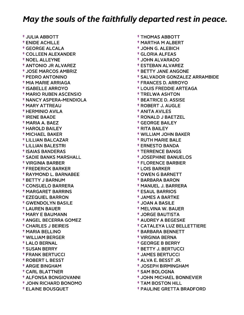† JULIA ABBOTT † ENIDE ACHILLE † GEORGE ALCALA † COLLEEN ALEXANDER † NOEL ALLEYNE † ANTONIO JR ALVAREZ † JOSE MARCOS AMBRIZ † PEDRO ANTONINO † MIA MARIE ARRIAGA † ISABELLE ARROYO † MARIO RUBEN ASCENSIO † NANCY ASPERA-MENDIOLA † MARY ATTREAU † HERMINIO AVILA † IRENE BAADE † MARIA A. BAEZ † HAROLD BAILEY † MICHAEL BAKER † LILLIAN BALCAZAR † LILLIAN BALESTRI † ISAIAS BANDERAS † SADIE BANKS MARSHALL † VIRGINIA BARBER † FREDERICK BARKER † RAYMOND L. BARNABEE † BETTY J BARNUM † CONSUELO BARRERA † MARGARET BARRINS † EZEQUIEL BARRON † GWENDOLYN BASILE † LAUREN BAUER † MARY E BAUMANN † ANGEL BECERRA GOMEZ † CHARLES J BEIREIS † MARIA BELLINO † WILLIAM BERGER † LALO BERNAL † SUSAN BERRY † FRANK BERTUCCI † ROBERT L BESST † ARGIE BINGHAM † CARL BLATTNER † ALFONSA BONGIOVANNI † JOHN RICHARD BONOMO † ELAINE BOUSQUET

 † THOMAS ABBOTT † MARTHA M ALBERT † JOHN G. ALEBICH † GLORIA ALFEAS † JOHN ALVARADO † ESTEBAN ALVAREZ † BETTY JANE ANGONE † SALVADOR GONZALEZ ARRAMBIDE † FRANCES D. ARROYO † LOUIS FREDDIE ARTEAGA † TRELWA ASHTON † BEATRICE D. ASSISE † ROBERT J. AUGLE † ANITA AVILES † RONALD J BAETZEL † GEORGE BAILEY † RITA BAILEY † WILLIAM JOHN BAKER † RUTH MARIE BALE † ERNESTO BANDA † TERRENCE BANGS † JOSEPHINE BANUELOS † FLORENCE BARBIER † LOIS BARKER † OWEN G BARNETT † BARBARA BARON † MANUEL J. BARRERA † ESAUL BARRIOS † JAMES A BARTKE † JOAN A BASILE † MELVINA W. BAUER † JORGE BAUTISTA † AUDREY A BEGESKE † CATALEYA LUZ BELLETTIERE † BARBARA BENNETT † VIRGINIA BERNA † GEORGE B BERRY † BETTY J. BERTUCCI † JAMES BERTUCCI † ALVA E. BESST JR. † JOSEPH BIRMINGHAM † SAM BOLOGNA † JOHN MICHAEL BONNEVIER † TAM BOSTON HILL

† PAULINE GRETTA BRADFORD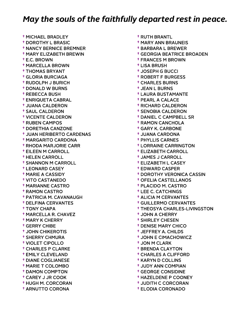† MICHAEL BRADLEY † DOROTHY L BRASIC † NANCY BERNICE BREMNER † MARY ELIZABETH BREWIN † E.C. BROWN † MARCELLA BROWN † THOMAS BRYANT † GLORIA BURCIAGA † RUDOLPH J BURICH † DONALD W BURNS † REBECCA BUSH † ENRIQUETA CABRAL † JUANA CALDERON † SAUL CALDERON † VICENTE CALDERON † RUBEN CAMPOS † DORETHIA CANZONE † JUAN HERIBERTO CARDENAS † MARGARITO CARDONA † RHODA MARJORIE CARR † EILEEN M CARROLL † HELEN CARROLL † SHANNON M CARROLL † LEONARD CASEY † MARIE A CASSIDY † VITO CASTANEDO † MARIANNE CASTRO † RAMON CASTRO † PATRICIA M. CAVANAUGH † DELFINA CERVANTES † TONY CHAPA † MARCELLA R. CHAVEZ † MARY K CHERRY † GERRY CHIBE † JOHN CHIKEROTIS † SHERRY CHMURA † VIOLET CIPOLLO † CHARLES P CLARKE † EMILY CLEVELAND † DIANE COGLIANESE † MARIE T COLOMBO † DAMON COMPTON † CAREY J JR COOK † HUGH M. CORCORAN † ARNUTTO CORONA

 † RUTH BRANTL † MARY ANN BRAUNEIS † BARBARA L BREWER † GEORGIA BEATRICE BROADEN † FRANCES M BROWN † LISA BRUSH † JOSEPH G BUCCI † ROBERT F BURGESS † CHARLES BURNS † JEAN L BURNS † LAURA BUSTAMANTE † PEARL A CALACE † RICHARD CALDERON † SENOBIA CALDERON † DANIEL C CAMPBELL SR † RAMON CANCHOLA † GARY K. CARBONE † JUANA CARDONA † PHYLLIS CARNES † LORRAINE CARRINGTON † ELIZABETH CARROLL † JAMES J CARROLL † ELIZABETH L CASEY † EDWARD CASPER † DOROTHY VERONICA CASSIN † OFELIA CASTELLANOS † PLACIDO M. CASTRO † LEE C. CATCHINGS † ALICIA M CERVANTES † GUILLERMO CERVANTES † THEOSYA CHARLES-LIVINGSTON † JOHN A CHERRY † SHIRLEY CHESEN † DENISE MARY CHICO † JEFFREY A. CHILDS † JOHN E CIMACHOWICZ † JON M CLARK † BRENDA CLAYTON † CHARLES A CLIFFORD † KARYN D COLLINS † JUDY ANN COMPIAN † GEORGE CONSIDINE † HAZELDENE P COONEY † JUDITH C CORCORAN

† ELODIA CORONADO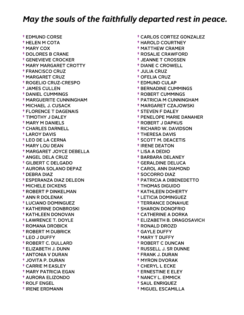† EDMUND CORSE † HELEN M COTA † MARY COX † DOLORES B CRANE † GENEVIEVE CROCKER † MARY MARGARET CROTTY † FRANCISCO CRUZ † MARGARET CRUZ † ROGELIO CRUZ-CRESPO † JAMES CULLEN † DANIEL CUMMINGS † MARGUERITE CUNNINGHAM † MICHAEL J. CUSACK † FLORENCE T DAGENAIS † TIMOTHY J DALEY † MARY M DANIELS † CHARLES DARNELL † LAROY DAVIS † LEO DE LA CERNA † MARY LOU DEAN † MARGARET JOYCE DEBELLA † ANGEL DELA CRUZ † GILBERT C DELGADO † AURORA SOLANO DEPAZ † DEBRA DIAZ † ESPERANZA DIAZ DELEON † MICHELE DICKENS † ROBERT P DINKELMAN † ANN R DOLENAK † LUCIANO DOMINGUEZ † KATHERINE DONBROSKI † KATHLEEN DONOVAN † LAWRENCE T. DOYLE † ROMANA DROBICK † ROBERT M DUBRICK † LEO J DUFFY † ROBERT C. DULLARD † ELIZABETH J. DUNN † ANTONIA V DURAN † JOVITA P. DURAN † CARRIE M EASLEY † MARY PATRICIA EGAN † AURORA ELIZONDO † ROLF ENGEL † IRENE ERDMANN

 † CARLOS CORTEZ GONZALEZ † HAROLD COURTNEY † MATTHEW CRAMER † ROSALIE CRAWFORD † JEANNE T CROSSEN † DIANE C CROWELL † JULIA CRUZ † OFELIA CRUZ † EDMUND CULAP † BERNADINE CUMMINGS † ROBERT CUMMINGS † PATRICIA M CUNNINGHAM † MARGARET CZAJOWSKI † STEVEN F DALEY † PENELOPE MARIE DANAHER † ROBERT J DAPKUS † RICHARD W. DAVIDSON † THERESA DAVIS † SCOTT M. DEACETIS † IRENE DEATON † LISA A DEDIO † BARBARA DELANEY † GERALDINE DELUCA † CAROL ANN DIAMOND † SOCORRO DIAZ † PATRICIA A DIBENEDETTO † THOMAS DIGUIDO † KATHLEEN DOHERTY † LETICIA DOMINGUEZ † TERRANCE DONAHUE † SHARON DONOFRIO † CATHERINE A DORKA † ELIZABETH B. DRAGOSAVICH † RONALD DROZD † GAYLE DUFFY † MARY T DUFFY † ROBERT C DUNCAN † RUSSELL J. SR DUNNE † FRANK J. DURAN † MYRON DVORAK † CHERYL L ECKE † ERNESTINE E ELEY † NANCY L. EMMICK

 † SAUL ENRIQUEZ † MIGUEL ESCAMILLA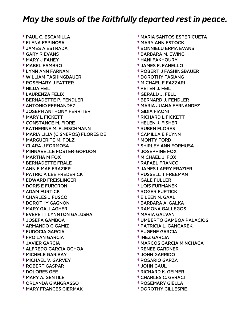† PAUL C. ESCAMILLA † ELENA ESPINOSA † JAMES A ESTRADA † GARY R EVANS † MARY J FAHEY † MABEL FAMBRO † LYNN ANN FARNAN † WILLIAM FASHINGBAUER † ROSEMARY J FATTER † HILDA FEIL † LAURENZA FELIX † BERNADETTE P. FENDLER † ANTONIO FERNANDEZ † JOSEPH ANTHONY FERRITER † MARY L FICKETT † CONSTANCE M. FIORE † KATHERINE M. FLEISCHMANN † MARIA LILIA (CISNEROS) FLORES DE † MARGUERITE M. FOLZ † CLARA J FORMOSA † MINNAVELLE FOSTER-GORDON † MARTHA M FOX † BERNADETTE FRALE † ANNIE MAE FRAZIER † PATRICIA LEE FREDERICK † EDWARD FREISLINGER † DORIS E FURCRON † ADAM FURTICK † CHARLES J FUSCO † DOROTHY GAGNON † MARY GALLAGHER † EVERETT LYNNTON GALUSHA † JOSEFA GAMBOA † ARMANDO G GAMIZ † EUDOCIA GARCIA † FROILAN GARCIA † JAVIER GARCIA † ALFREDO GARCIA OCHOA † MICHELE GARIBAY † MICHAEL V. GARVEY † ROBERT GASPAR † DOLORES GEE † MARY A. GENTILE † ORLANDA GIANGRASSO † MARY FRANCES GIERMAK

 † MARIA SANTOS ESPERICUETA † MARY ANN ESTOCK † BONNIELU ERMA EVANS † BARBARA M. EWING † HANI FAKHOURY † JAMES F. FANELLO † ROBERT J FASHINGBAUER † DOROTHY FASIANG † MICHAEL F FAZZARI † PETER J. FEIL † GERALD J. FELL † BERNARD J. FENDLER † MARIA JUANA FERNANDEZ † GIDIA FIAONI † RICHARD L FICKETT † HELEN J. FISHER † RUBEN FLORES † CAMILLA E FLYNN † MONTY FORD † SHIRLEY ANN FORMUSA † JOSEPHINE FOX † MICHAEL J. FOX † RAFAEL FRANCO † JAMES LARRY FRAZIER † RUSSELL T FREEMAN † GALE FULLER † LOIS FURMANEK † ROGER FURTICK † EILEEN N. GAAL † BARBARA A. GALKA † RAMONA GALLEGOS † MARIA GALVAN † UMBERTO GAMBOA PALACIOS † PATRICIA L. GANCAREK † EUGENE GARCIA † INEZ GARCIA † MARCOS GARCIA MINCHACA † RENEE GARDNER † JOHN GARRIDO † ROSARIO GARZA † JOHN GAUL † RICHARD K. GEIMER † CHARLES C. GERACI † ROSEMARY GIELLA

† DOROTHY GILLESPIE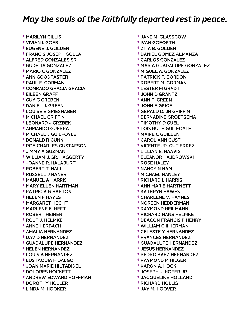† MARILYN GILLIS † VIVIAN I. GOEB † EUGENE J. GOLDEN † FRANCIS JOSEPH GOLLA † ALFRED GONZALES SR † GUDELIA GONZALEZ † MARIO C GONZALEZ † ANN GOODPASTER † PAUL E. GORMAN † CONRADO GRACIA GRACIA † EILEEN GRAFF † GUY G GREBEN † DANIEL J. GREEN † LOUISE E GRIESHABER † MICHAEL GRIFFIN † LEONARD J GRZBEK † ARMANDO GUERRA † MICHAEL J GUILFOYLE † DONALD R GUNN † ROY CHARLES GUSTAFSON † JIMMY A GUZMAN † WILLIAM J. SR. HAGGERTY † JOANNE R. HALABURT † ROBERT T. HALL † RUSSELL J HANERT † MANUEL A HARRIS † MARY ELLEN HARTMAN † PATRICIA G HARTON † HELEN F HAYES † MARGARET HECHT † MARLENE K. HEFT † ROBERT HEINEN † ROLF J. HELMKE † ANNE HERBACH † AMALIA HERNANDEZ † DAVID HERNANDEZ † GUADALUPE HERNANDEZ † HELEN HERNANDEZ † LOUIS A HERNANDEZ † EUSTAQUIA HIDALGO † JOAN MARIE HILTABIDEL † DOLORES HOCKETT † ANDREW EDWARD HOFFMAN † DOROTHY HOLLER † LINDA M. HOOKER

 † JANE M. GLASSGOW † IVAN GOFORTH † ZITA B. GOLDEN † DANIEL GOMEZ ALMANZA † CARLOS GONZALEZ † MARIA GUADALUPE GONZALEZ † MIGUEL A. GONZALEZ † PATRICK F. GORDON † ROBERT M. GORMAN † LESTER M GRADT † JOHN D GRANTZ † ANN P. GREEN † JOHN E GRICE † GERALD D. JR GRIFFIN † BERNADINE GROETSEMA † TIMOTHY D GUEL † LOIS RUTH GUILFOYLE † MAIRE C GUILLEN † CAROL ANN GUST † VICENTE JR. GUTIERREZ † LILLIAN E. HAAVIG † ELEANOR HAJDROWSKI † ROSE HALEY † NANCY N HAM † MICHAEL HANLEY † RICHARD L HARRIS † ANN MARIE HARTNETT † KATHRYN HAWES † CHARLENE V. HAYNES † NOREEN HEDDERMAN † RAYMOND HEILMANN † RICHARD HANS HELMKE † DEACON FRANCIS P HENRY † WILLIAM G II HERMAN † CELESTE Y HERNANDEZ † FRANCES HERNANDEZ † GUADALUPE HERNANDEZ † JESUS HERNANDEZ † PEDRO BAEZ HERNANDEZ † RAYMOND M HILGER † KARON A. HOCK † JOSEPH J. HOFER JR. † JACQUELINE HOLLAND

 † RICHARD HOLLIS † JAY M. HOOVER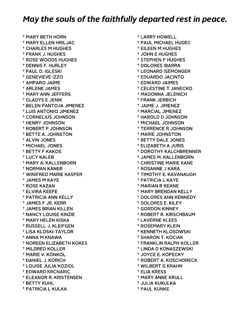† MARY BETH HORN † MARY ELLEN HRILJAC † CHARLES M HUGHES † FRANK J. HUGHES † ROSE WOODS HUGHES † DENNIS F. HURLEY † PAUL D. IGLESKI † GENEVIEVE IZZO † AMPARO JAIME † ARLENE JAMES † MARY ANN JEFFERS † GLADYS E JENIK † BELEN PANTOJA JIMENEZ † LUIS ANTONIO JIMENEZ † CORNELIUS JOHNSON † HENRY JOHNSON † ROBERT P JOHNSON † BETTE A. JOHNSTON † ALVIN JONES † MICHAEL JONES † BETTY F KAKOS † LUCY KALEB † MARY A. KALLENBORN † NORMAN KANER † WINIFRED MARIE KASPER † JAMES M KAYE † ROSE KAZAN † ELVIRA KEEFE † PATRICIA ANN KELLY † JAMES F JR. KERR † JAMES BRIAN KILLEN † NANCY LOUISE KINZIE † MARY HELEN KISKA † RUSSELL J. KLEIFGEN † LISA KLOSKI-TAYLOR † ANNA M KNAWA † NOREEN ELIZABETH KOKES † MILDRED KOLLER † MARIE V. KONKOL † DANIEL J. KORICH † LOUISE JULIA KOZIOL † EDWARD KRCNARIC † ELEANOR R. KRISTENSEN † BETTY KUHL † PATRICIA L KULKA

 † LARRY HOWELL † PAUL MICHAEL HUDEC † EILEEN M HUGHES † JOHN E HUGHES † STEPHEN P HUGHES † DOLORES IBARRA † LEONARD ISEMONGER † EDUARDO JACINTO † EDWARD JAIMES † CELESTINE T JANECKO † MADONNA JELENICH † FRANK JERBICH † JAIME J. JIMENEZ † MARCIAL JIMENEZ † HAROLD D JOHNSON † MICHAEL JOHNSON † TERRENCE R JOHNSON † MARIE JOHNSTON † BETTY DALE JONES † ELIZABETH A JURIS † DOROTHY KALCHBRENNER † JAMES M. KALLENBORN † CHRISTINE MARIE KANE † ROSANNE J KARA † TIMOTHY E. KAVANAUGH † PATRICIA L KAYE † MARIAN R KEANE † MARY BRENDAN KELLY † DOLORES ANN KENNEDY † DOLORES E. KILEY † GORDON KINNEY † ROBERT R. KIRSCHBAUM † LAVERNE KLEES † ROSEMARY KLEIN † KENNETH KLOSOWSKI † SHARON T. KOCIAK † FRANKLIN RALPH KOLLER † LINDA D KONASZEWSKI † JOYCE E. KOPECKY † ROBERT A. KOSCHORECK † WILBERT G KRAHN † ELIA KRESS † MARY ANNE KRULL † JULIA KUKULKA

† PAUL KUNKE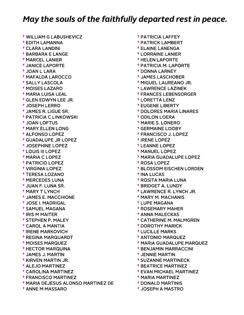† WILLIAM G LABUSHEVICZ † EDITH LAMANNA † CLARA LANDINI † BARBARA E LANGE † MARCEL LANIER † JANICE LAPORTE † JOAN L LARA † MAFALDA LAROCCO † SALLY LASCOLA † MOISES LAZARO † MARIA LUISA LEAL † GLEN EDWYN LEE JR. † JOSEPH LERRO † JAMES R. LIGUE SR. † PATRICIA C LINKOWSKI † JOAN LOFTUS † MARY ELLEN LONG † ALFONSO LOPEZ † GUADALUPE JR LOPEZ † JOSEPHINE LOPEZ † LOUIS III LOPEZ † MARIA C LOPEZ † PATRICIO LOPEZ † VIRGINIA LOPEZ † TERESA LOZANO † MERCEDES LUNA † JUAN F. LUNA SR. † MARY T LYNCH † JAMES E. MACCHIONE † JOSE I. MADRIGAL † SAMUEL MAGANA † IRIS M MAITER † STEPHEN P. MALEY † CAROL A MANTIA † IRENE MARKOVICH † REGINA MARQUARDT † MOISES MARQUEZ † HECTOR MARQUINA † JAMES J. MARTIN † KIRVEN MARTIN JR. † ALEJO MARTINEZ † CAROLINA MARTINEZ † FRANCISCO MARTINEZ † MARIA DEJESUS ALONSO MARTINEZ DE † ANNE M MASSARO

 † PATRICIA LAFFEY † PATRICK LAMBERT † ELAINE LANENGA † LORRAINE LANIER † HELEN LAPORTE † PATRICIA M. LAPORTE † DONNA LARNEY † JAMES LASCHOBER † MIGUEL LAUREANO JR. † LAWRENCE LAZINEK † FRANCES LEBENSORGER † LORETTA LENZ † EUGENE LIBERTY † DOLORES MARIA LINARES † ODILON LOERA † MARIE S. LONERO † GERMAINE LOOBY † FRANCISCO J. LOPEZ † IRENE LOPEZ † LEANNE LOPEZ † MANUEL LOPEZ † MARIA GUADALUPE LOPEZ † ROSA LOPEZ † BLOSSOM EISCHEN LORDEN † INA LUCAS † ROSITA MARIA LUNA † BRIDGET A. LUNDY † LAWRENCE R. LYNCH JR. † MARY M. MACHANIS † LUPE MAGANA † ROSEMARY MAHER † ANNA MALECKAS † CATHERINE M. MALMGREN † DOROTHY MARICK † LUCILLE MARKS † ANTONIO MARQUEZ † MARIA GUADALUPE MARQUEZ † BENJAMIN MARRACCINI † JENNIE MARTIN † SUZANNE MARTINECK † BEATRICE MARTINEZ † EVAN MICHAEL MARTINEZ † MARIA MARTINEZ † DONALD MARTINIS

† JOSEPH A MASTRO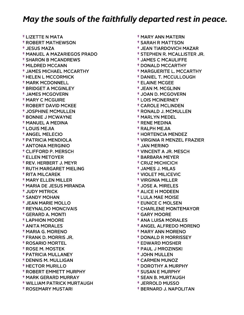† LIZETTE N MATA † ROBERT MATHEWSON † JESUS MAZA † MANUEL A MAZARIEGOS PRADO † SHARON B MCANDREWS † MILDRED MCCANN † JAMES MICHAEL MCCARTHY † HELEN L MCCORMICK † MARK MCDONNELL † BRIDGET A MCGINLEY † JAMES MCGOVERN † MARY C MCGUIRE † ROBERT DAVID MCKEE † JOSPHINE MCMULLEN † BONNIE J MCWAYNE † MANUEL A MEDINA † LOUIS MEJIA † ANGEL MELECIO † PATRICIA MENDIOLA † ANTONIA MERGINIO † CLIFFORD P. MERSCH † ELLEN METOYER † REV. HERBERT J. MEYR † RUTH MARGARET MIELING † RITA MILCAREK † MARY ELLEN MILLER † MARIA DE JESUS MIRANDA † JUDY MITRICK † SANDY MOHAN † JEAN MARIE MOLLO † REYNALDO MONCIVAIS † GERARD A. MONTI † LAPHION MOORE † ANITA MORALES † MARIA G. MORENO † FRANK D. MORRIS JR. † ROSARIO MORTEL † ROSE M. MOSTEK † PATRICIA MULLANEY † DENNIS M. MULLIGAN † HECTOR MURILLO † ROBERT EMMETT MURPHY † MARK GERARD MURRAY † WILLIAM PATRICK MURTAUGH † ROSEMARY MUSTARI

 † MARY ANN MATERN † SARAH R MATTSON † JEAN TIARDOVICH MAZAR † STEPHEN R. MCALLISTER JR. † JAMES C MCAULIFFE † DONALD MCCARTHY † MARGUERITE L. MCCARTHY † DANIEL T. MCCULLOUGH † ELAINE MCGEE † JEAN M. MCGLINN † JOAN D. MCGOVERN † LOIS MCINERNEY † CAROLE MCLINDEN † RONALD J. MCMULLEN † MARLYN MEDEL † RENE MEDINA † RALPH MEJIA † HORTENCIA MENDEZ † VIRGINIA R MENZEL FRAZIER † JAN MERINO † VINCENT A JR. MESCH † BARBARA MEYER † CRUZ MICHICICH † JAMES J. MILAS † VIOLET MILICEVIC † VIRGINIA MILLER † JOSE A. MIRELES † ALICE H MODEEN † LULA MAE MOISE † EUNICE C MOLSEN † CHARLENE MONTEMAYOR † GARY MOORE † ANA LUISA MORALES † ANGEL ALFREDO MORENO † MARY ANN MORENO † DONALD R MORRISSEY † EDWARD MOSHER † PAUL J MROZINSKI † JOHN MULLEN † CARMEN MUNOZ † DOROTHY A MURPHY † SUSAN E MURPHY † SEAN B. MURTAUGH † JERROLD MUSSO

† BERNARD J. NAPOLITAN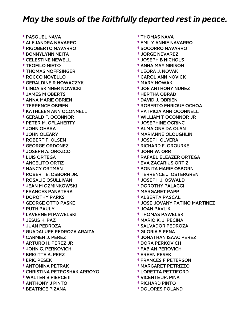† PASQUEL NAVA † ALEJANDRA NAVARRO † RIGOBERTO NAVARRO † BONNYLYNN NEITA † CELESTINE NEWELL † TEOFILO NIETO † THOMAS NOFFSINGER † ROCCO NOVELLO † GERALDINE R NOWACZYK † LINDA SKINNER NOWICKI † JAMES M OBERTS † ANNA MARIE OBRIEN † TERRENCE OBRIEN † KATHLEEN ANN OCONNELL † GERALD F. OCONNOR † PETER M. OFLAHERTY † JOHN OHARA † JOHN OLEARY † ROBERT F. OLSEN † GEORGE ORDONEZ † JOSEPH A. OROZCO † LUIS ORTEGA † ANGELITO ORTIZ † NANCY ORTMAN † ROBERT E. OSBORN JR. † ROSALIE OSULLIVAN † JEAN M OZMINKOWSKI † FRANCES PANATERA † DOROTHY PARKS † GEORGE OTTO PASKE † RUTH PAULY † LAVERNE M PAWELSKI † JESUS H. PAZ † JUAN PEDROZA † GUADALUPE PEDROZA ARAIZA † CARMEN J. PEREZ † ARTURO H. PEREZ JR † JOHN G. PERKOVICH † BRIGITTE A. PERZ † ERIC PESEK † ANTONINA PETRAK † CHRISTINA PETROSHAK ARROYO † WALTER B PIERCE III † ANTHONY J PINTO † BEATRICE PIZANA

 † THOMAS NAVA † EMILY ANNIE NAVARRO † SOCORRO NAVARRO † JORGE NEVAREZ † JOSEPH B NICHOLS † ANNA MAY NIRISON † LEORA J. NOVAK † CAROL ANN NOVICK † MARY NOWAK † JOE ANTHONY NUNEZ † HERTHA OBRAD † DAVID J. OBRIEN † ROBERTO ENRIQUE OCHOA † PATRICIA ANN OCONNELL † WILLIAM T OCONNOR JR † JOSEPHINE OGRINC † ALMA ONEIDA OLAN † MARIANNE OLOUGHLIN † JOSEPH OLVERA † RICHARD F. OROURKE † JOHN W. ORR † RAFAEL ELEAZER ORTEGA † EVA ZACARIUS ORTIZ † BONITA MARIE OSBORN † TERRENCE J. OSTERGREN † JOSEPH J. OSWALD † DOROTHY PALAGGI † MARGARET PAPP † ALBERTA PASCAL † JOSE JOVANY PATINO MARTINEZ † JOAN PAVLIK † THOMAS PAWELSKI † MARIO K. J. PECINA † SALVADOR PEDROZA † GLORIA S PENA † JONATHAN ISAAC PEREZ † DORA PERKOVICH † FABIAN PEROVICH † EREEN PESEK † FRANCES F PETERSON † MARGARET PETRIZZO † LORETTA PETTIFORD † VICENTE JR. PINA † RICHARD PINTO

† DOLORES POLAND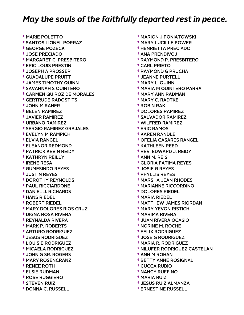† MARIE POLETTO † SANTOS LIONEL PORRAZ † GEORGE POZECK † JOSE PRECIADO † MARGARET C. PRESBITERO † ERIC LOUIS PRESTIN † JOSEPH A PROSSER † GUADALUPE PRUITT † JAMES TIMOTHY QUINN † SAVANNAH S QUINTERO † CARMEN QUIROZ DE MORALES † GERTRUDE RADOSTITS † JOHN M RAHER † BELEN RAMIREZ † JAVIER RAMIREZ † URBANO RAMIREZ † SERGIO RAMIREZ GRAJALES † EVELYN M RAMPICH † ELVIA RANGEL † ELEANOR REDMOND † PATRICK KEVIN REIDY † KATHRYN REILLY † IRENE RESA † GUMESINDO REYES † JUSTIN REYES † DOROTHY REYNOLDS † PAUL RICCIARDONE † DANIEL J. RICHARDS † HANS RIEDEL † ROBERT RIEDEL † MARY DOLORES RIOS CRUZ † DIGNA ROSA RIVERA † REYNALDA RIVERA † MARK P. ROBERTS † ARTURO RODRIGUEZ † JESUS RODRIGUEZ † LOUIS E RODRIGUEZ † MICAELA RODRIGUEZ † JOHN G SR. ROGERS † MARY ROSENCRANZ † RENEE ROTH † ELSIE RUDMAN † ROSE RUGGIERO † STEVEN RUIZ † DONNA C. RUSSELL

 † MARION J PONIATOWSKI † MARY LUCILLE POWER † HENRIETTA PRECIADO † ANA PRENDIVOJ † RAYMOND P. PRESBITERO † CARL PRIETO † RAYMOND G PRUCHA † JEANNE PURTELL † MARY L. QUINN † MARIA M QUINTERO PARRA † MARY ANN RADMAN † MARY C. RADTKE † ROBIN RAK † DOLORES RAMIREZ † SALVADOR RAMIREZ † WILFRED RAMIREZ † ERIC RAMOS † KAREN RANDLE † OFELIA CASARES RANGEL † KATHLEEN REED † REV. EDWARD J. REIDY † ANN M. REIS † GLORIA FATIMA REYES † JOSIE G REYES † PHYLLIS REYES † MARSHA JEAN RHODES † MARIANNE RICCORDINO † DOLORES RIEDEL † MARIA RIEDEL † MATTHEW JAMES RIORDAN † MARY YEVON RISTICH † MARIMA RIVERA † JUAN RIVERA OCASIO † NORINE M. ROCHE † FELIX RODRIGUEZ † JOSE G RODRIGUEZ † MARIA R. RODRIGUEZ † NILUFER RODRIGUEZ CASTELAN † ANN M ROHAN † BETTY ANNE ROSIGNAL † CUCCA RUBIO † NANCY RUFFINO † MARIA RUIZ † JESUS RUIZ ALMANZA

† ERNESTINE RUSSELL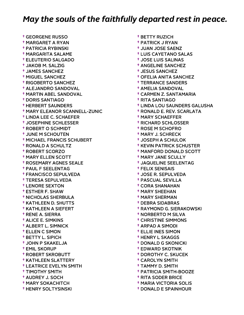† GEORGENE RUSSO † MARGARET A RYAN † PATRICIA RYBINSKI † MARGARITA SALAME † ELEUTERIO SALGADO † JAKOB M. SALZIG † JAMES SANCHEZ † MIGUEL SANCHEZ † RIGOBERTO SANCHEZ † ALEJANDRO SANDOVAL † MARTIN ABEL SANDOVAL † DORIS SANTIAGO † HERBERT SAUNDERS † MARY ELEANOR SCANNELL-ZUNIC † LINDA LEE C. SCHAEFER † JOSEPHINE SCHLESSER † ROBERT O SCHMIDT † JUNE M SCHOUTEN † MICHAEL FRANCIS SCHUBERT † RONALD A SCHULTZ † ROBERT SCORZO † MARY ELLEN SCOTT † ROSEMARY AGNES SEALE † PAUL F SEELENTAG † FRANCISCO SEPULVEDA † TERESA SEPULVEDA † LENORE SEXTON † ESTHER F. SHAW † NICHOLAS SHERBULA † KATHLEEN D. SHUTTS † KATHLEEN A SIEFERT † RENE A. SIERRA † ALICE E. SIMKINS † ALBERT L. SIMNICK † ELLEN C SIMON † BETTY L. SIPICH † JOHN P SKAKELJA † EMIL SKORUP † ROBERT SKROBUTT † KATHLEEN SLATTERY † LEATRICE EVELYN SMITH † TIMOTHY SMITH † AUDREY J. SOCH † MARY SOKACHITCH † HENRY SOLTYSINSKI

 † BETTY RUZICH † PATRICK J RYAN † JUAN JOSE SAENZ † LUIS CAYETANO SALAS † JOSE LUIS SALINAS † ANGELINE SANCHEZ † JESUS SANCHEZ † OFELIA ANITA SANCHEZ † TERRANCE SANDERS † AMELIA SANDOVAL † CARMEN Z. SANTAMARIA † RITA SANTIAGO † LINDA LOU SAUNDERS GALUSHA † RONALD E. REV. SCARLATA † MARY SCHAEFFER † RICHARD SCHLOSSER † ROSE M SCHOFRO † MARY J. SCHRECK † JOSEPH A SCHULOK † KEVIN PATRICK SCHUSTER † MANFORD DONALD SCOTT † MARY JANE SCULLY † JAQUELINE SEELENTAG † FELIX SENISAIS † JOSE R. SEPULVEDA † PASCUAL SEVILLA † CORA SHANAHAN † MARY SHEEHAN † MARY SHERMAN † DEBRA SIDABRAS † RAYMOND G. SIERAKOWSKI † NORBERTO M SILVA † CHRISTINE SIMMONS † ARPAD A SIMODI † ELLIE INES SIMON † HENRY L SKAGGS † DONALD G SKONICKI † EDWARD SKOTNIK † DOROTHY C. SKUCEK † CAROLYN SMITH † TAMMY D. SMITH † PATRICIA SMITH-BOOZE † RITA SODER BRICE

- † MARIA VICTORIA SOLIS
- † DONALD E SPAINHOUR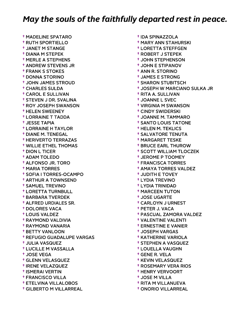† MADELINE SPATARO † RUTH SPORTIELLO † JANET M STANGE † DIANA M STEPEK † MERLE A STEPHENS † ANDREW STEVENS JR † FRANK S STOKES † DONNA STORINO † JOHN JAMES STROUD † CHARLES SULDA † CAROL E SULLIVAN † STEVEN J DR. SVALINA † ROY JOSEPH SWANSON † HELEN SWEENEY † LORRAINE T TADDA † JESSE TAPIA † LORRAINE H TAYLOR † DIANE M. TENEGAL † HERIVERTO TERRAZAS † WILLIE ETHEL THOMAS † DION L TICER † ADAM TOLEDO † ALFONSO JR. TORO † MARIA TORRES † SOFIA I TORRES-OCAMPO † ARTHUR A TOWNSEND † SAMUEL TREVINO † LORETTA TURNBULL † BARBARA TVERDEK † ALFRED URDIALES SR. † DOLORES VACA † LOUIS VALDEZ † RAYMOND VALDIVIA † RAYMOND VANARIA † BETTY VANLOON † REFUGIO GUADALUPE VARGAS † JULIA VASQUEZ † LUCILLE M VASSALLA † JOSE VEGA † GLENN VELASQUEZ † IRENE VELAZQUEZ † ISMERAI VERTIN † FRANCISCO VILLA † ETELVINA VILLALOBOS † GILBERTO M VILLARREAL

 † IDA SPINAZZOLA † MARY ANN STAHURSKI † LORETTA STEFFGEN † ROBERT J STEPEK † JOHN STEPHENSON † JOHN E STIPANOV † ANN R. STORINO † JAMES E STRONG † SHARON STUBITSCH † JOSEPH W MARCIANO SULKA JR † RITA A. SULLIVAN † JOANNE L SVEC † VIRGINIA M SWANSON † CINDY SWIDERSKI † JOANNE M. TAMMARO † SANTO LOUIS TATONE † HELEN M. TEKLICS † SALVATORE TENUTA † MARGARET TESKE † BRUCE EARL THUROW † SCOTT WILLIAM TLOCZEK † JEROME P TOOMEY † FRANCISCA TORRES † AMAYA TORRES VALDEZ † JUDITH E TOVEY † LYDIA TREVINO † LYDIA TRINIDAD † MARCEEN TUTON † JOSE UGARTE † CARLOYN J URNEST † PETER J. VACA † PASCUAL ZAMORA VALDEZ † VALENTINE VALENTI † ERNESTINE E VANIER † JOSEPH VARGAS † KATHERINE VARIOLA † STEPHEN A VASQUEZ † LOUELLA VAUGHN † GENE R. VELA † KEVIN VELASQUEZ † ROSEMARY VERA RIOS † HENRY VERVOORT † JOSE M VILLA † RITA M VILLANUEVA

† ONORIO VILLARREAL